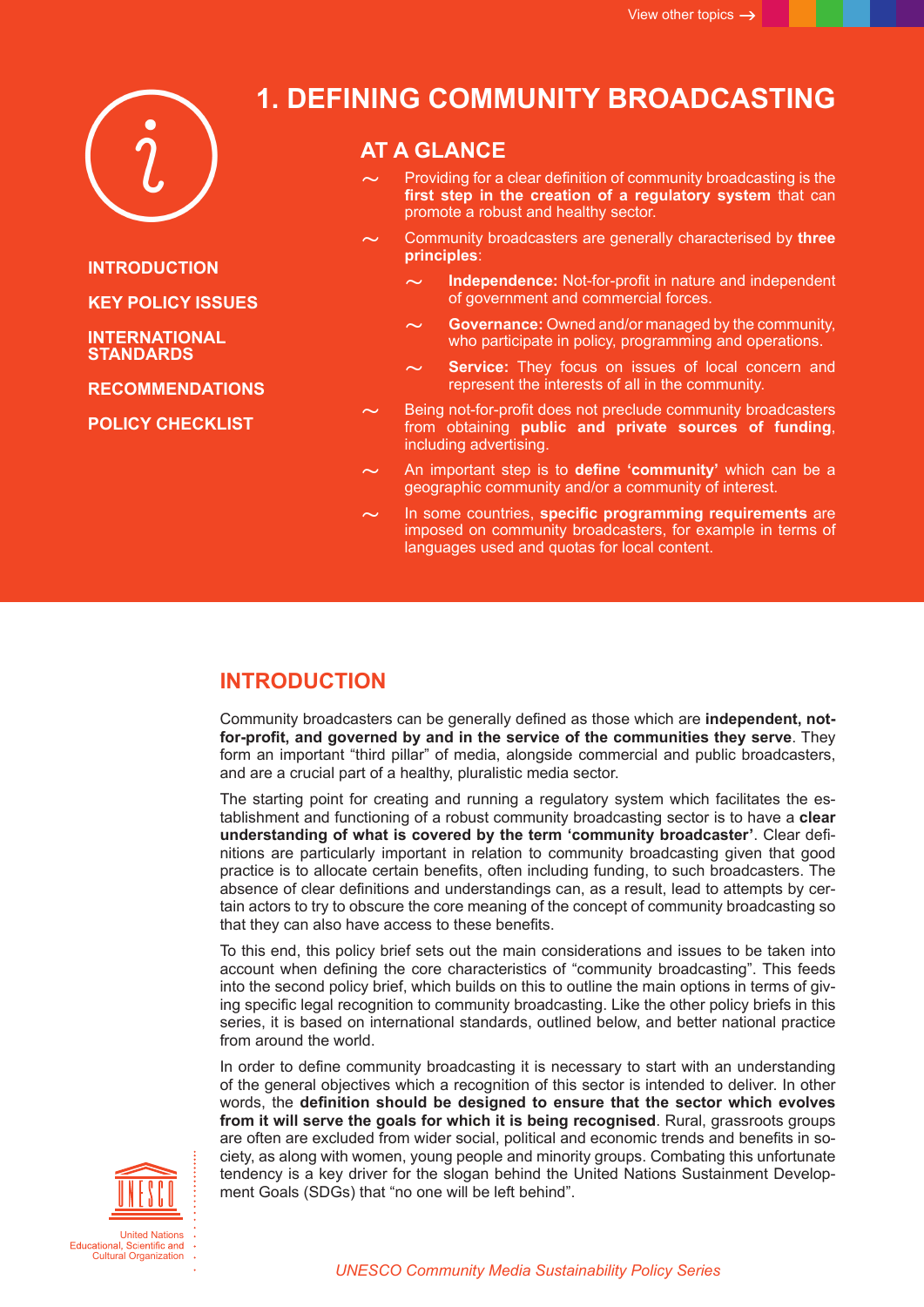

**INTRODUCTION**

**[KEY POLICY](#page-1-0) ISSUES**

**[INTERNATIONAL](#page-2-0)  [STANDARDS](#page-2-0)**

**[RECOMMENDATIONS](#page-3-0)**

**[POLICY CHECKLIST](#page-4-0)**

# **1. Defining Community Broadcasting**

### **AT A GLANCE**

- Providing for a clear definition of community broadcasting is the **first step in the creation of a regulatory system** that can promote a robust and healthy sector.
- ~ Community broadcasters are generally characterised by **three principles**:
	- **Independence:** Not-for-profit in nature and independent of government and commercial forces.
	- ~ **Governance:** Owned and/or managed by the community, who participate in policy, programming and operations.
		- **Service:** They focus on issues of local concern and represent the interests of all in the community.
- Being not-for-profit does not preclude community broadcasters from obtaining **public and private sources of funding**, including advertising.
- An important step is to define 'community' which can be a geographic community and/or a community of interest.
- In some countries, **specific programming requirements** are imposed on community broadcasters, for example in terms of languages used and quotas for local content.

### **INTRODUCTION**

Community broadcasters can be generally defined as those which are **independent, notfor-profit, and governed by and in the service of the communities they serve**. They form an important "third pillar" of media, alongside commercial and public broadcasters, and are a crucial part of a healthy, pluralistic media sector.

The starting point for creating and running a regulatory system which facilitates the establishment and functioning of a robust community broadcasting sector is to have a **clear understanding of what is covered by the term 'community broadcaster'**. Clear definitions are particularly important in relation to community broadcasting given that good practice is to allocate certain benefits, often including funding, to such broadcasters. The absence of clear definitions and understandings can, as a result, lead to attempts by certain actors to try to obscure the core meaning of the concept of community broadcasting so that they can also have access to these benefits.

To this end, this policy brief sets out the main considerations and issues to be taken into account when defining the core characteristics of "community broadcasting". This feeds into the second policy brief, which builds on this to outline the main options in terms of giving specific legal recognition to community broadcasting. Like the other policy briefs in this series, it is based on international standards, outlined below, and better national practice from around the world.

In order to define community broadcasting it is necessary to start with an understanding of the general objectives which a recognition of this sector is intended to deliver. In other words, the **definition should be designed to ensure that the sector which evolves from it will serve the goals for which it is being recognised**. Rural, grassroots groups are often are excluded from wider social, political and economic trends and benefits in society, as along with women, young people and minority groups. Combating this unfortunate tendency is a key driver for the slogan behind the United Nations Sustainment Development Goals (SDGs) that "no one will be left behind".

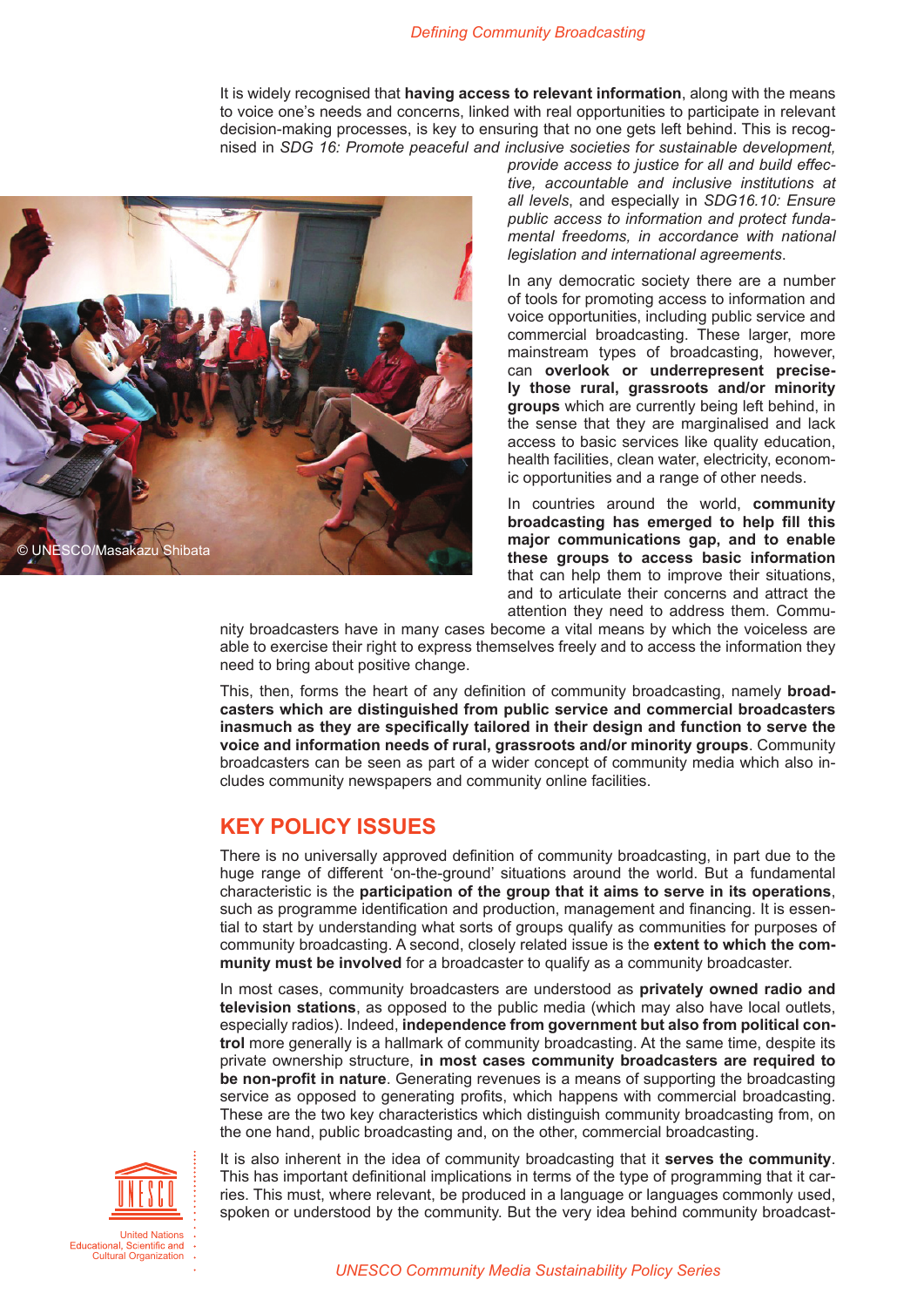It is widely recognised that **having access to relevant information**, along with the means to voice one's needs and concerns, linked with real opportunities to participate in relevant decision-making processes, is key to ensuring that no one gets left behind. This is recognised in *SDG 16: Promote peaceful and inclusive societies for sustainable development,* 

<span id="page-1-0"></span>

*provide access to justice for all and build effective, accountable and inclusive institutions at all levels*, and especially in *SDG16.10: Ensure public access to information and protect fundamental freedoms, in accordance with national legislation and international agreements*.

In any democratic society there are a number of tools for promoting access to information and voice opportunities, including public service and commercial broadcasting. These larger, more mainstream types of broadcasting, however, can **overlook or underrepresent precisely those rural, grassroots and/or minority groups** which are currently being left behind, in the sense that they are marginalised and lack access to basic services like quality education, health facilities, clean water, electricity, economic opportunities and a range of other needs.

In countries around the world, **community broadcasting has emerged to help fill this major communications gap, and to enable these groups to access basic information**  that can help them to improve their situations, and to articulate their concerns and attract the attention they need to address them. Commu-

nity broadcasters have in many cases become a vital means by which the voiceless are able to exercise their right to express themselves freely and to access the information they need to bring about positive change.

This, then, forms the heart of any definition of community broadcasting, namely **broadcasters which are distinguished from public service and commercial broadcasters inasmuch as they are specifically tailored in their design and function to serve the voice and information needs of rural, grassroots and/or minority groups**. Community broadcasters can be seen as part of a wider concept of community media which also includes community newspapers and community online facilities.

### **KEY POLICY ISSUES**

There is no universally approved definition of community broadcasting, in part due to the huge range of different 'on-the-ground' situations around the world. But a fundamental characteristic is the **participation of the group that it aims to serve in its operations**, such as programme identification and production, management and financing. It is essential to start by understanding what sorts of groups qualify as communities for purposes of community broadcasting. A second, closely related issue is the **extent to which the community must be involved** for a broadcaster to qualify as a community broadcaster.

In most cases, community broadcasters are understood as **privately owned radio and television stations**, as opposed to the public media (which may also have local outlets, especially radios). Indeed, **independence from government but also from political control** more generally is a hallmark of community broadcasting. At the same time, despite its private ownership structure, **in most cases community broadcasters are required to be non-profit in nature**. Generating revenues is a means of supporting the broadcasting service as opposed to generating profits, which happens with commercial broadcasting. These are the two key characteristics which distinguish community broadcasting from, on the one hand, public broadcasting and, on the other, commercial broadcasting.



It is also inherent in the idea of community broadcasting that it **serves the community**. This has important definitional implications in terms of the type of programming that it carries. This must, where relevant, be produced in a language or languages commonly used, spoken or understood by the community. But the very idea behind community broadcast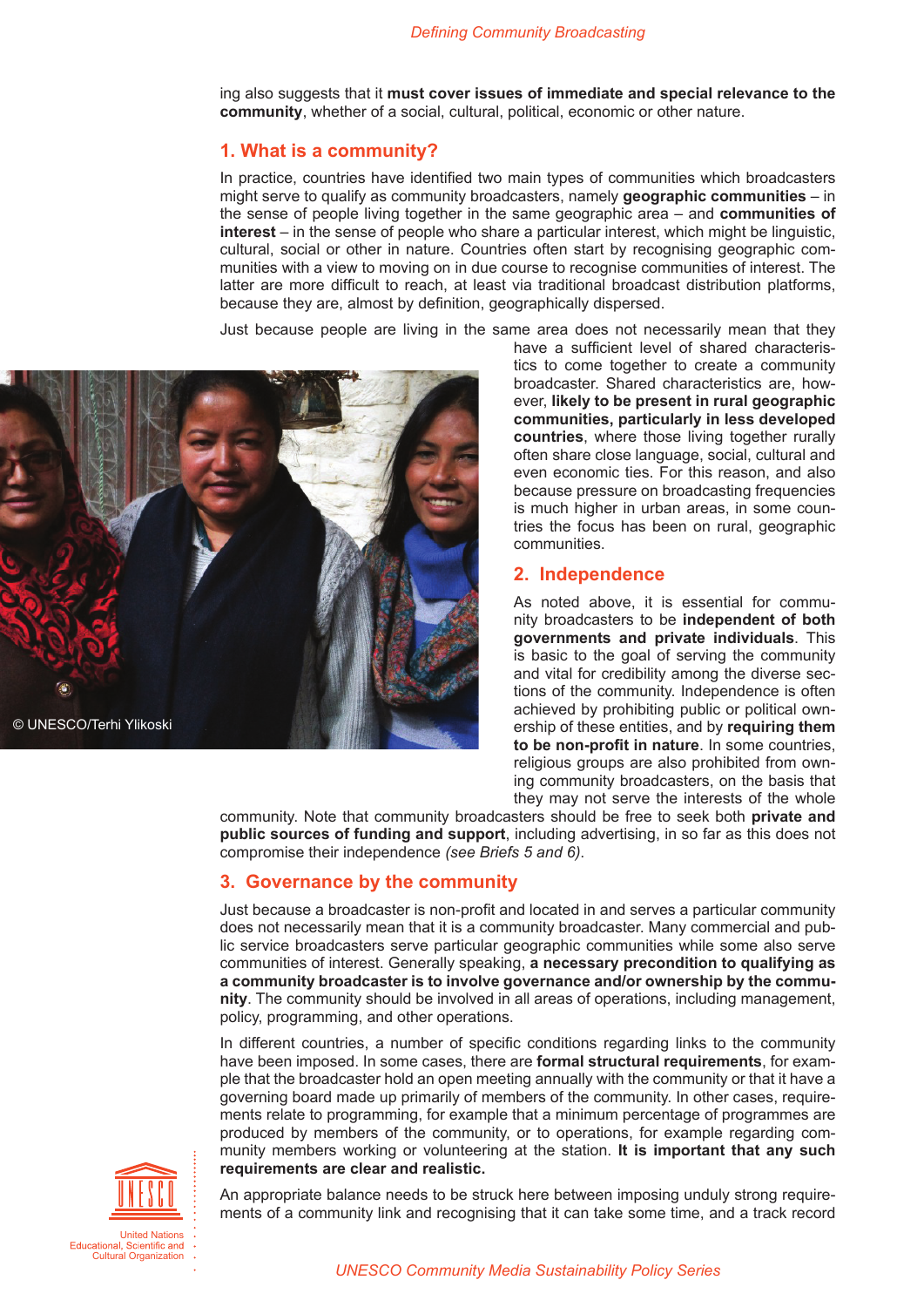<span id="page-2-0"></span>ing also suggests that it **must cover issues of immediate and special relevance to the community**, whether of a social, cultural, political, economic or other nature.

### **1. What is a community?**

In practice, countries have identified two main types of communities which broadcasters might serve to qualify as community broadcasters, namely **geographic communities** – in the sense of people living together in the same geographic area – and **communities of interest** – in the sense of people who share a particular interest, which might be linguistic, cultural, social or other in nature. Countries often start by recognising geographic communities with a view to moving on in due course to recognise communities of interest. The latter are more difficult to reach, at least via traditional broadcast distribution platforms, because they are, almost by definition, geographically dispersed.

Just because people are living in the same area does not necessarily mean that they



have a sufficient level of shared characteristics to come together to create a community broadcaster. Shared characteristics are, however, **likely to be present in rural geographic communities, particularly in less developed countries**, where those living together rurally often share close language, social, cultural and even economic ties. For this reason, and also because pressure on broadcasting frequencies is much higher in urban areas, in some countries the focus has been on rural, geographic communities.

#### **2. Independence**

As noted above, it is essential for community broadcasters to be **independent of both governments and private individuals**. This is basic to the goal of serving the community and vital for credibility among the diverse sections of the community. Independence is often achieved by prohibiting public or political ownership of these entities, and by **requiring them to be non-profit in nature**. In some countries, religious groups are also prohibited from owning community broadcasters, on the basis that they may not serve the interests of the whole

community. Note that community broadcasters should be free to seek both **private and public sources of funding and support**, including advertising, in so far as this does not compromise their independence *(see Briefs 5 and 6)*.

#### **3. Governance by the community**

Just because a broadcaster is non-profit and located in and serves a particular community does not necessarily mean that it is a community broadcaster. Many commercial and public service broadcasters serve particular geographic communities while some also serve communities of interest. Generally speaking, **a necessary precondition to qualifying as a community broadcaster is to involve governance and/or ownership by the community**. The community should be involved in all areas of operations, including management, policy, programming, and other operations.

In different countries, a number of specific conditions regarding links to the community have been imposed. In some cases, there are **formal structural requirements**, for example that the broadcaster hold an open meeting annually with the community or that it have a governing board made up primarily of members of the community. In other cases, requirements relate to programming, for example that a minimum percentage of programmes are produced by members of the community, or to operations, for example regarding community members working or volunteering at the station. **It is important that any such requirements are clear and realistic.** 



An appropriate balance needs to be struck here between imposing unduly strong requirements of a community link and recognising that it can take some time, and a track record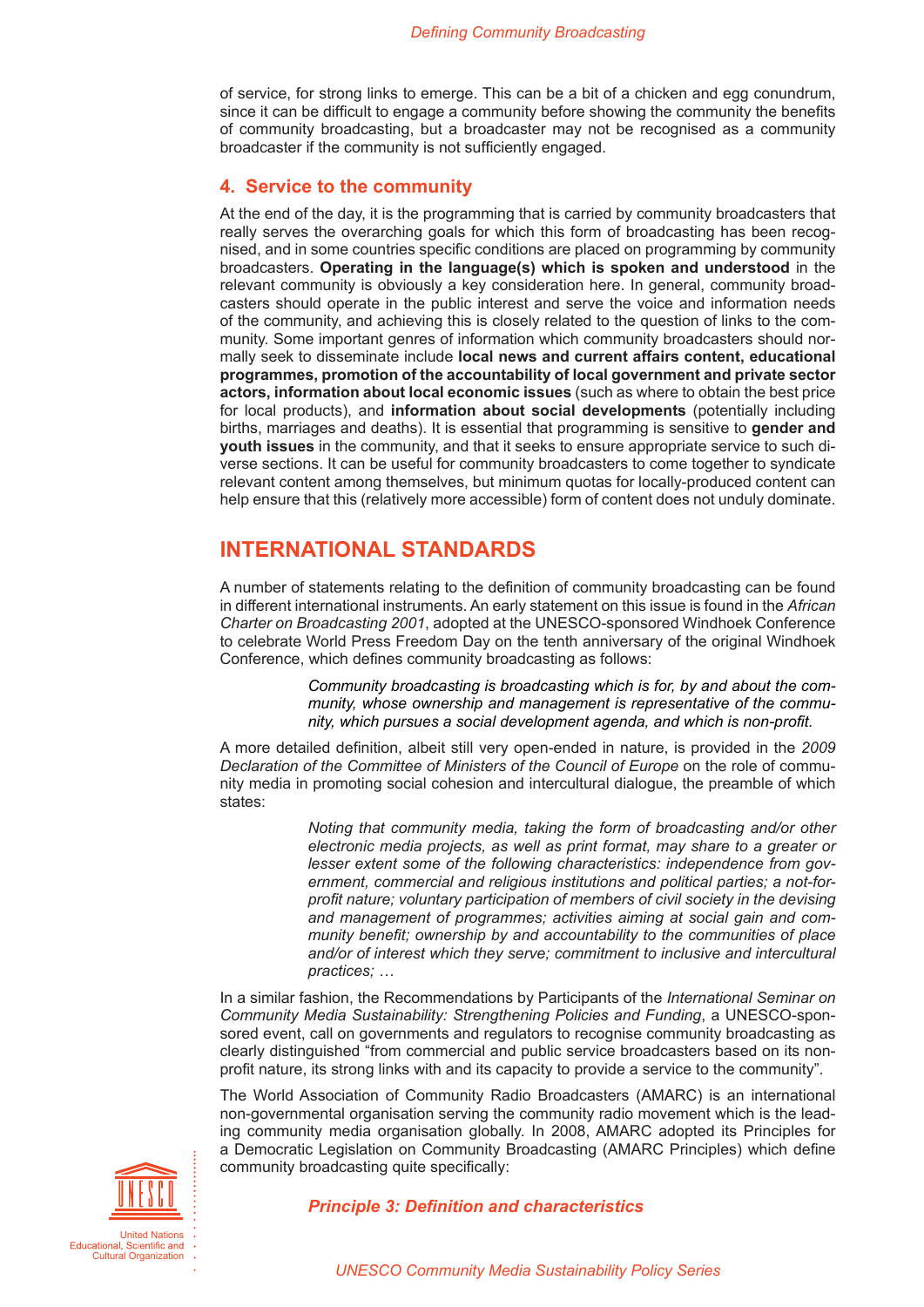<span id="page-3-0"></span>of service, for strong links to emerge. This can be a bit of a chicken and egg conundrum, since it can be difficult to engage a community before showing the community the benefits of community broadcasting, but a broadcaster may not be recognised as a community broadcaster if the community is not sufficiently engaged.

### **4. Service to the community**

At the end of the day, it is the programming that is carried by community broadcasters that really serves the overarching goals for which this form of broadcasting has been recognised, and in some countries specific conditions are placed on programming by community broadcasters. **Operating in the language(s) which is spoken and understood** in the relevant community is obviously a key consideration here. In general, community broadcasters should operate in the public interest and serve the voice and information needs of the community, and achieving this is closely related to the question of links to the community. Some important genres of information which community broadcasters should normally seek to disseminate include **local news and current affairs content, educational programmes, promotion of the accountability of local government and private sector actors, information about local economic issues** (such as where to obtain the best price for local products), and **information about social developments** (potentially including births, marriages and deaths). It is essential that programming is sensitive to **gender and youth issues** in the community, and that it seeks to ensure appropriate service to such diverse sections. It can be useful for community broadcasters to come together to syndicate relevant content among themselves, but minimum quotas for locally-produced content can help ensure that this (relatively more accessible) form of content does not unduly dominate.

### **INTERNATIONAL STANDARDS**

A number of statements relating to the definition of community broadcasting can be found in different international instruments. An early statement on this issue is found in the *[African](http://portal.unesco.org/ci/en/files/5628/10343523830african_charter.pdf/african%2Bcharter.pdf)  [Charter on Broadcasting 2001](http://portal.unesco.org/ci/en/files/5628/10343523830african_charter.pdf/african%2Bcharter.pdf)*, adopted at the UNESCO-sponsored Windhoek Conference to celebrate World Press Freedom Day on the tenth anniversary of the original Windhoek Conference, which defines community broadcasting as follows:

> *Community broadcasting is broadcasting which is for, by and about the community, whose ownership and management is representative of the community, which pursues a social development agenda, and which is non-profit.*

A more detailed definition, albeit still very open-ended in nature, is provided in the *2009 Declaration of the Committee of Ministers of the Council of Europe* on the role of community media in promoting social cohesion and intercultural dialogue, the preamble of which states:

> *Noting that community media, taking the form of broadcasting and/or other electronic media projects, as well as print format, may share to a greater or lesser extent some of the following characteristics: independence from government, commercial and religious institutions and political parties; a not-forprofit nature; voluntary participation of members of civil society in the devising and management of programmes; activities aiming at social gain and community benefit; ownership by and accountability to the communities of place and/or of interest which they serve; commitment to inclusive and intercultural practices; …*

In a similar fashion, the Recommendations by Participants of the *International Seminar on Community Media Sustainability: Strengthening Policies and Funding*, a UNESCO-sponsored event, call on governments and regulators to recognise community broadcasting as clearly distinguished "from commercial and public service broadcasters based on its nonprofit nature, its strong links with and its capacity to provide a service to the community".

The World Association of Community Radio Broadcasters (AMARC) is an international non-governmental organisation serving the community radio movement which is the leading community media organisation globally. In 2008, AMARC adopted its Principles for a Democratic Legislation on Community Broadcasting (AMARC Principles) which define community broadcasting quite specifically:



#### *Principle 3: Definition and characteristics*